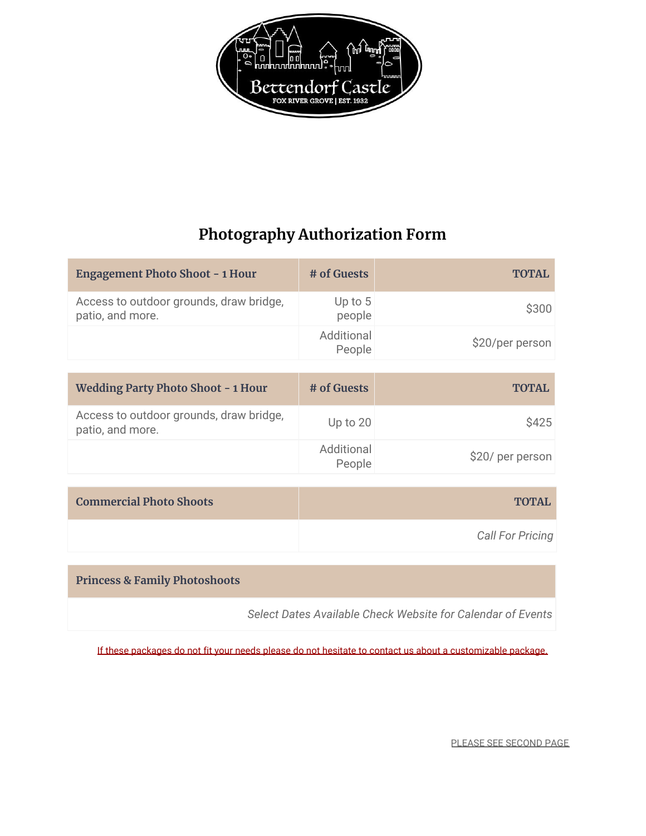

## **Photography Authorization Form**

| <b>Engagement Photo Shoot - 1 Hour</b>                      | # of Guests          | <b>TOTAL</b>            |
|-------------------------------------------------------------|----------------------|-------------------------|
| Access to outdoor grounds, draw bridge,<br>patio, and more. | Up to 5<br>people    | \$300                   |
|                                                             | Additional<br>People | \$20/per person         |
|                                                             |                      |                         |
| <b>Wedding Party Photo Shoot - 1 Hour</b>                   | # of Guests          | <b>TOTAL</b>            |
| Access to outdoor grounds, draw bridge,<br>patio, and more. | Up to 20             | \$425                   |
|                                                             | Additional<br>People | \$20/ per person        |
|                                                             |                      |                         |
| <b>Commercial Photo Shoots</b>                              |                      | <b>TOTAL</b>            |
|                                                             |                      | <b>Call For Pricing</b> |
|                                                             |                      |                         |
|                                                             |                      |                         |

**Princess & Family Photoshoots**

*Select Dates Available Check Website for Calendar of Events*

If these packages do not fit your needs please do not hesitate to contact us about a customizable package.

PLEASE SEE SECOND PAGE